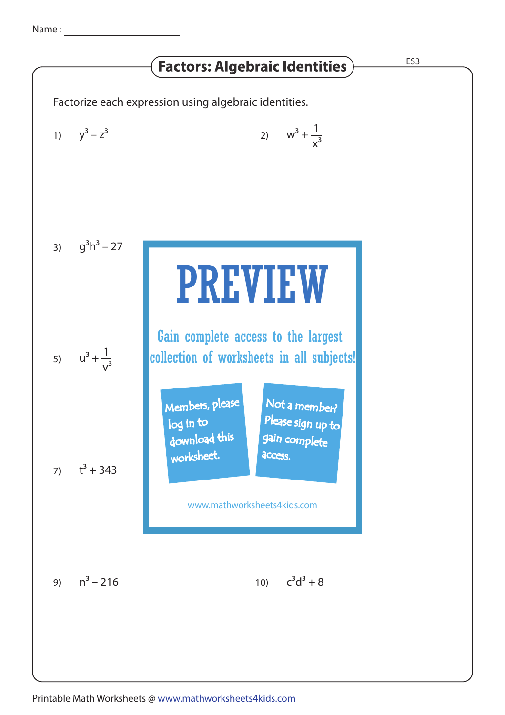